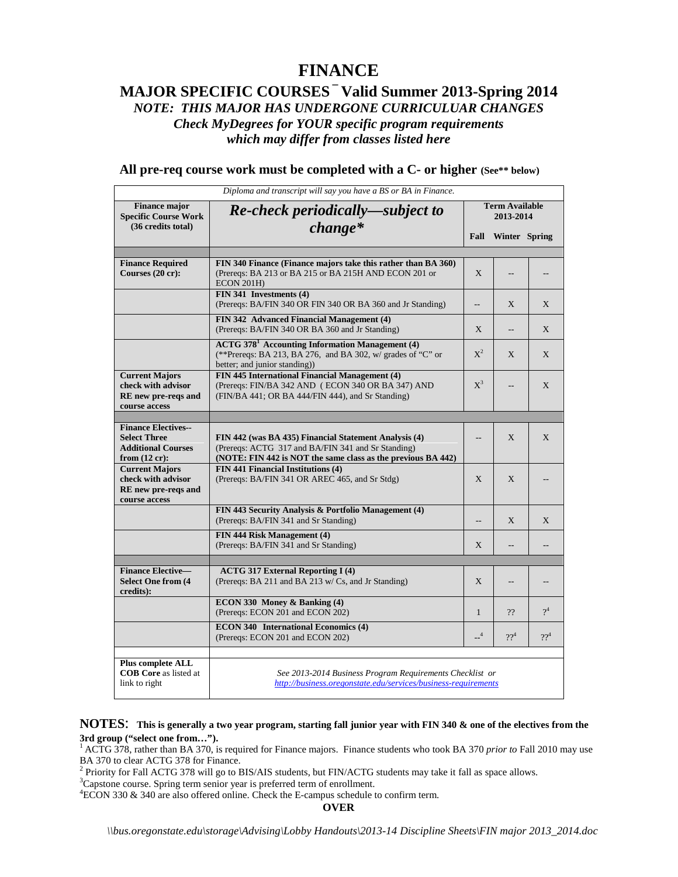# **FINANCE**

## **MAJOR SPECIFIC COURSES – Valid Summer 2013-Spring 2014** *NOTE: THIS MAJOR HAS UNDERGONE CURRICULUAR CHANGES Check MyDegrees for YOUR specific program requirements which may differ from classes listed here*

|  |  | All pre-req course work must be completed with a C- or higher (See** below) |  |  |  |  |  |  |  |  |  |
|--|--|-----------------------------------------------------------------------------|--|--|--|--|--|--|--|--|--|
|--|--|-----------------------------------------------------------------------------|--|--|--|--|--|--|--|--|--|

|                                                                                                            | Diploma and transcript will say you have a BS or BA in Finance.                                                                                                             |                                    |                |                 |
|------------------------------------------------------------------------------------------------------------|-----------------------------------------------------------------------------------------------------------------------------------------------------------------------------|------------------------------------|----------------|-----------------|
| <b>Finance major</b><br><b>Specific Course Work</b><br>(36 credits total)                                  | <b>Re-check periodically—subject to</b>                                                                                                                                     | <b>Term Available</b><br>2013-2014 |                |                 |
|                                                                                                            | $change*$                                                                                                                                                                   |                                    | Winter Spring  |                 |
|                                                                                                            |                                                                                                                                                                             |                                    |                |                 |
| <b>Finance Required</b><br>Courses (20 cr):                                                                | FIN 340 Finance (Finance majors take this rather than BA 360)<br>(Prereqs: BA 213 or BA 215 or BA 215H AND ECON 201 or<br>ECON 201H)                                        | X                                  | $-$            |                 |
|                                                                                                            | FIN 341 Investments (4)<br>(Prereqs: BA/FIN 340 OR FIN 340 OR BA 360 and Jr Standing)                                                                                       | $\overline{\phantom{a}}$           | X              | X               |
|                                                                                                            | FIN 342 Advanced Financial Management (4)<br>(Prereqs: BA/FIN 340 OR BA 360 and Jr Standing)                                                                                | X                                  | $-$            | X               |
|                                                                                                            | <b>ACTG 378<sup>1</sup></b> Accounting Information Management (4)<br>(**Prereqs: BA 213, BA 276, and BA 302, w/ grades of "C" or<br>better; and junior standing))           | $X^2$                              | X              | X               |
| <b>Current Majors</b><br>check with advisor<br>RE new pre-regs and<br>course access                        | FIN 445 International Financial Management (4)<br>(Prereqs: FIN/BA 342 AND (ECON 340 OR BA 347) AND<br>(FIN/BA 441; OR BA 444/FIN 444), and Sr Standing)                    | $X^3$                              |                | X               |
|                                                                                                            |                                                                                                                                                                             |                                    |                |                 |
| <b>Finance Electives--</b><br><b>Select Three</b><br><b>Additional Courses</b><br>from $(12 \text{ cr})$ : | FIN 442 (was BA 435) Financial Statement Analysis (4)<br>(Prereqs: ACTG 317 and BA/FIN 341 and Sr Standing)<br>(NOTE: FIN 442 is NOT the same class as the previous BA 442) | --                                 | X              | X               |
| <b>Current Majors</b><br>check with advisor<br>RE new pre-regs and<br>course access                        | FIN 441 Financial Institutions (4)<br>(Prereqs: BA/FIN 341 OR AREC 465, and Sr Stdg)                                                                                        | X                                  | X              |                 |
|                                                                                                            | FIN 443 Security Analysis & Portfolio Management (4)<br>(Prereqs: BA/FIN 341 and Sr Standing)                                                                               |                                    | X              | X               |
|                                                                                                            | FIN 444 Risk Management (4)<br>(Prereqs: BA/FIN 341 and Sr Standing)                                                                                                        | X                                  | $\overline{a}$ |                 |
|                                                                                                            |                                                                                                                                                                             |                                    |                |                 |
| <b>Finance Elective-</b><br><b>Select One from (4)</b><br>credits):                                        | <b>ACTG 317 External Reporting I (4)</b><br>(Prereqs: BA 211 and BA 213 w/ Cs, and Jr Standing)                                                                             | $\mathbf{X}$                       | $-$            |                 |
|                                                                                                            | ECON 330 Money & Banking (4)<br>(Prereqs: ECON 201 and ECON 202)                                                                                                            | $\mathbf{1}$                       | ??             | $2^4$           |
|                                                                                                            | <b>ECON 340 International Economics (4)</b><br>(Prereqs: ECON 201 and ECON 202)                                                                                             | $-4$                               | $22^4$         | 22 <sup>4</sup> |
|                                                                                                            |                                                                                                                                                                             |                                    |                |                 |
| Plus complete ALL<br><b>COB Core</b> as listed at<br>link to right                                         | See 2013-2014 Business Program Requirements Checklist or<br>http://business.oregonstate.edu/services/business-requirements                                                  |                                    |                |                 |

**NOTES**: **This is generally a two year program, starting fall junior year with FIN <sup>340</sup> & one of the electives from the** 

<sup>1</sup> ACTG 378, rather than BA 370, is required for Finance majors. Finance students who took BA 370 *prior to* Fall 2010 may use

BA 370 to clear ACTG 378 for Finance.<br><sup>2</sup> Priority for Fall ACTG 378 will go to BIS/AIS students, but FIN/ACTG students may take it fall as space allows.<br><sup>3</sup>Capstone course. Spring term senior year is preferred term of enr

<sup>4</sup>ECON 330 & 340 are also offered online. Check the E-campus schedule to confirm term.

**OVER**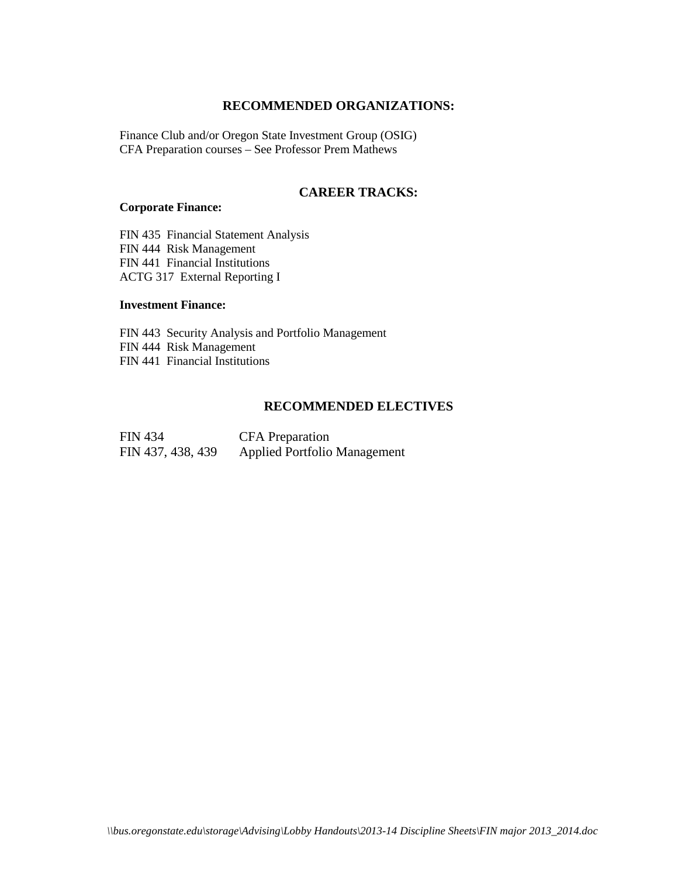## **RECOMMENDED ORGANIZATIONS:**

Finance Club and/or Oregon State Investment Group (OSIG) CFA Preparation courses – See Professor Prem Mathews

## **CAREER TRACKS:**

### **Corporate Finance:**

FIN 435 Financial Statement Analysis FIN 444 Risk Management FIN 441 Financial Institutions ACTG 317 External Reporting I

#### **Investment Finance:**

FIN 443 Security Analysis and Portfolio Management FIN 444 Risk Management FIN 441 Financial Institutions

### **RECOMMENDED ELECTIVES**

| <b>FIN 434</b>    | <b>CFA</b> Preparation              |
|-------------------|-------------------------------------|
| FIN 437, 438, 439 | <b>Applied Portfolio Management</b> |